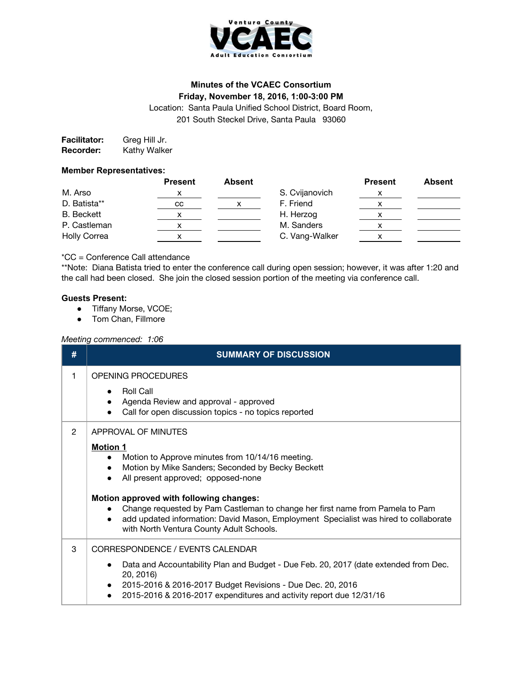

# **Minutes of the VCAEC Consortium Friday, November 18, 2016, 1:00-3:00 PM**

Location: Santa Paula Unified School District, Board Room, 201 South Steckel Drive, Santa Paula 93060

**Facilitator:** Greg Hill Jr. **Recorder:** Kathy Walker

### **Member Representatives:**

|                     | <b>Present</b> | Absent |                | <b>Present</b> | <b>Absent</b> |
|---------------------|----------------|--------|----------------|----------------|---------------|
| M. Arso             | х              |        | S. Cvijanovich |                |               |
| D. Batista**        | cс             |        | F. Friend      |                |               |
| <b>B.</b> Beckett   |                |        | H. Herzog      |                |               |
| P. Castleman        |                |        | M. Sanders     |                |               |
| <b>Holly Correa</b> |                |        | C. Vang-Walker |                |               |

# \*CC = Conference Call attendance

\*\*Note: Diana Batista tried to enter the conference call during open session; however, it was after 1:20 and the call had been closed. She join the closed session portion of the meeting via conference call.

### **Guests Present:**

- Tiffany Morse, VCOE;
- Tom Chan, Fillmore

#### *Meeting commenced: 1:06*

| #              | <b>SUMMARY OF DISCUSSION</b>                                                                                                                                                                                                                                                                                                                                                                                                                          |  |  |  |  |
|----------------|-------------------------------------------------------------------------------------------------------------------------------------------------------------------------------------------------------------------------------------------------------------------------------------------------------------------------------------------------------------------------------------------------------------------------------------------------------|--|--|--|--|
| 1              | <b>OPENING PROCEDURES</b><br><b>Roll Call</b><br>Agenda Review and approval - approved<br>Call for open discussion topics - no topics reported                                                                                                                                                                                                                                                                                                        |  |  |  |  |
| $\overline{2}$ | APPROVAL OF MINUTES<br><b>Motion 1</b><br>Motion to Approve minutes from 10/14/16 meeting.<br>Motion by Mike Sanders; Seconded by Becky Beckett<br>All present approved; opposed-none<br>Motion approved with following changes:<br>Change requested by Pam Castleman to change her first name from Pamela to Pam<br>add updated information: David Mason, Employment Specialist was hired to collaborate<br>with North Ventura County Adult Schools. |  |  |  |  |
| 3              | CORRESPONDENCE / EVENTS CALENDAR<br>Data and Accountability Plan and Budget - Due Feb. 20, 2017 (date extended from Dec.<br>20, 2016)<br>2015-2016 & 2016-2017 Budget Revisions - Due Dec. 20, 2016<br>2015-2016 & 2016-2017 expenditures and activity report due 12/31/16                                                                                                                                                                            |  |  |  |  |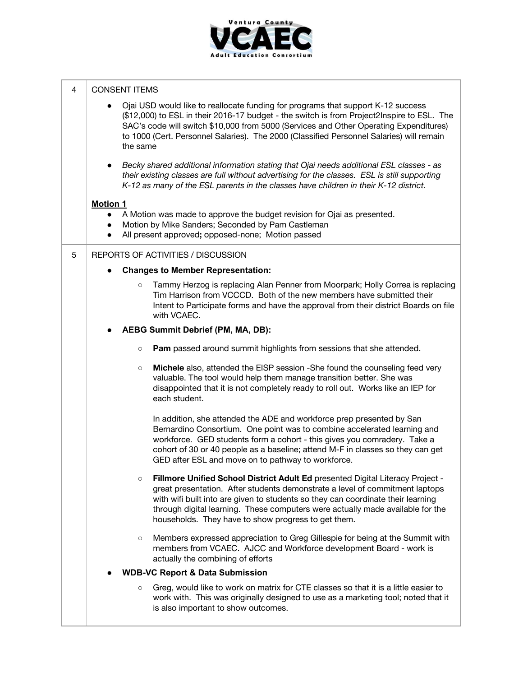

| 4 | <b>CONSENT ITEMS</b>                                                                                                                                                                                                                                                                                                                                                                                   |  |  |  |  |  |
|---|--------------------------------------------------------------------------------------------------------------------------------------------------------------------------------------------------------------------------------------------------------------------------------------------------------------------------------------------------------------------------------------------------------|--|--|--|--|--|
|   | Ojai USD would like to reallocate funding for programs that support K-12 success<br>$\bullet$<br>(\$12,000) to ESL in their 2016-17 budget - the switch is from Project2Inspire to ESL. The<br>SAC's code will switch \$10,000 from 5000 (Services and Other Operating Expenditures)<br>to 1000 (Cert. Personnel Salaries). The 2000 (Classified Personnel Salaries) will remain<br>the same           |  |  |  |  |  |
|   | Becky shared additional information stating that Ojai needs additional ESL classes - as<br>$\bullet$<br>their existing classes are full without advertising for the classes. ESL is still supporting<br>K-12 as many of the ESL parents in the classes have children in their K-12 district.                                                                                                           |  |  |  |  |  |
|   | <b>Motion 1</b>                                                                                                                                                                                                                                                                                                                                                                                        |  |  |  |  |  |
|   | A Motion was made to approve the budget revision for Ojai as presented.<br>$\bullet$                                                                                                                                                                                                                                                                                                                   |  |  |  |  |  |
|   | Motion by Mike Sanders; Seconded by Pam Castleman<br>$\bullet$                                                                                                                                                                                                                                                                                                                                         |  |  |  |  |  |
|   | All present approved; opposed-none; Motion passed<br>$\bullet$                                                                                                                                                                                                                                                                                                                                         |  |  |  |  |  |
| 5 | REPORTS OF ACTIVITIES / DISCUSSION                                                                                                                                                                                                                                                                                                                                                                     |  |  |  |  |  |
|   | <b>Changes to Member Representation:</b><br>$\bullet$                                                                                                                                                                                                                                                                                                                                                  |  |  |  |  |  |
|   | Tammy Herzog is replacing Alan Penner from Moorpark; Holly Correa is replacing<br>$\circ$<br>Tim Harrison from VCCCD. Both of the new members have submitted their<br>Intent to Participate forms and have the approval from their district Boards on file<br>with VCAEC.                                                                                                                              |  |  |  |  |  |
|   | <b>AEBG Summit Debrief (PM, MA, DB):</b>                                                                                                                                                                                                                                                                                                                                                               |  |  |  |  |  |
|   | Pam passed around summit highlights from sessions that she attended.<br>$\circ$                                                                                                                                                                                                                                                                                                                        |  |  |  |  |  |
|   | Michele also, attended the EISP session -She found the counseling feed very<br>$\circ$<br>valuable. The tool would help them manage transition better. She was<br>disappointed that it is not completely ready to roll out. Works like an IEP for<br>each student.                                                                                                                                     |  |  |  |  |  |
|   | In addition, she attended the ADE and workforce prep presented by San<br>Bernardino Consortium. One point was to combine accelerated learning and<br>workforce. GED students form a cohort - this gives you comradery. Take a<br>cohort of 30 or 40 people as a baseline; attend M-F in classes so they can get<br>GED after ESL and move on to pathway to workforce.                                  |  |  |  |  |  |
|   | Fillmore Unified School District Adult Ed presented Digital Literacy Project -<br>$\circ$<br>great presentation. After students demonstrate a level of commitment laptops<br>with wifi built into are given to students so they can coordinate their learning<br>through digital learning. These computers were actually made available for the<br>households. They have to show progress to get them. |  |  |  |  |  |
|   | Members expressed appreciation to Greg Gillespie for being at the Summit with<br>$\circ$<br>members from VCAEC. AJCC and Workforce development Board - work is<br>actually the combining of efforts                                                                                                                                                                                                    |  |  |  |  |  |
|   | <b>WDB-VC Report &amp; Data Submission</b>                                                                                                                                                                                                                                                                                                                                                             |  |  |  |  |  |
|   | Greg, would like to work on matrix for CTE classes so that it is a little easier to<br>$\circ$<br>work with. This was originally designed to use as a marketing tool; noted that it<br>is also important to show outcomes.                                                                                                                                                                             |  |  |  |  |  |